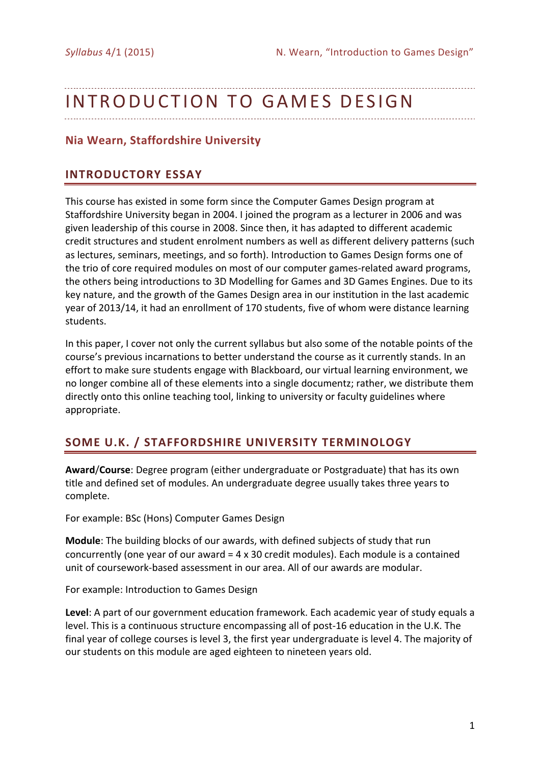# INTRODUCTION TO GAMES DESIGN

# **Nia Wearn, Staffordshire University**

# **INTRODUCTORY ESSAY**

This course has existed in some form since the Computer Games Design program at Staffordshire University began in 2004. I joined the program as a lecturer in 2006 and was given leadership of this course in 2008. Since then, it has adapted to different academic credit structures and student enrolment numbers as well as different delivery patterns (such as lectures, seminars, meetings, and so forth). Introduction to Games Design forms one of the trio of core required modules on most of our computer games-related award programs, the others being introductions to 3D Modelling for Games and 3D Games Engines. Due to its key nature, and the growth of the Games Design area in our institution in the last academic year of 2013/14, it had an enrollment of 170 students, five of whom were distance learning students.

In this paper, I cover not only the current syllabus but also some of the notable points of the course's previous incarnations to better understand the course as it currently stands. In an effort to make sure students engage with Blackboard, our virtual learning environment, we no longer combine all of these elements into a single documentz; rather, we distribute them directly onto this online teaching tool, linking to university or faculty guidelines where appropriate.

# **SOME U.K. / STAFFORDSHIRE UNIVERSITY TERMINOLOGY**

**Award/Course:** Degree program (either undergraduate or Postgraduate) that has its own title and defined set of modules. An undergraduate degree usually takes three years to complete.

For example: BSc (Hons) Computer Games Design

**Module**: The building blocks of our awards, with defined subjects of study that run concurrently (one year of our award  $=$  4 x 30 credit modules). Each module is a contained unit of coursework-based assessment in our area. All of our awards are modular.

For example: Introduction to Games Design

Level: A part of our government education framework. Each academic year of study equals a level. This is a continuous structure encompassing all of post-16 education in the U.K. The final year of college courses is level 3, the first year undergraduate is level 4. The majority of our students on this module are aged eighteen to nineteen years old.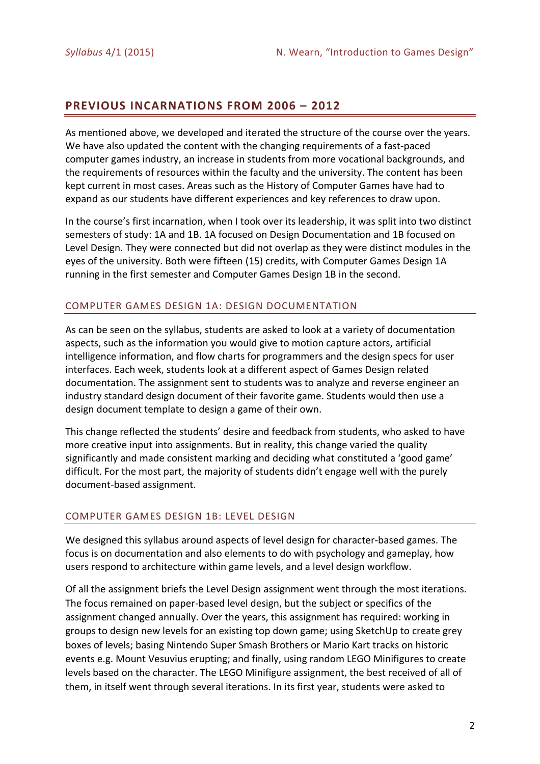# **PREVIOUS INCARNATIONS FROM 2006 – 2012**

As mentioned above, we developed and iterated the structure of the course over the years. We have also updated the content with the changing requirements of a fast-paced computer games industry, an increase in students from more vocational backgrounds, and the requirements of resources within the faculty and the university. The content has been kept current in most cases. Areas such as the History of Computer Games have had to expand as our students have different experiences and key references to draw upon.

In the course's first incarnation, when I took over its leadership, it was split into two distinct semesters of study: 1A and 1B. 1A focused on Design Documentation and 1B focused on Level Design. They were connected but did not overlap as they were distinct modules in the eyes of the university. Both were fifteen (15) credits, with Computer Games Design 1A running in the first semester and Computer Games Design 1B in the second.

### COMPUTER GAMES DESIGN 1A: DESIGN DOCUMENTATION

As can be seen on the syllabus, students are asked to look at a variety of documentation aspects, such as the information you would give to motion capture actors, artificial intelligence information, and flow charts for programmers and the design specs for user interfaces. Each week, students look at a different aspect of Games Design related documentation. The assignment sent to students was to analyze and reverse engineer an industry standard design document of their favorite game. Students would then use a design document template to design a game of their own.

This change reflected the students' desire and feedback from students, who asked to have more creative input into assignments. But in reality, this change varied the quality significantly and made consistent marking and deciding what constituted a 'good game' difficult. For the most part, the majority of students didn't engage well with the purely document-based assignment.

# COMPUTER GAMES DESIGN 1B: LEVEL DESIGN

We designed this syllabus around aspects of level design for character-based games. The focus is on documentation and also elements to do with psychology and gameplay, how users respond to architecture within game levels, and a level design workflow.

Of all the assignment briefs the Level Design assignment went through the most iterations. The focus remained on paper-based level design, but the subject or specifics of the assignment changed annually. Over the years, this assignment has required: working in groups to design new levels for an existing top down game; using SketchUp to create grey boxes of levels; basing Nintendo Super Smash Brothers or Mario Kart tracks on historic events e.g. Mount Vesuvius erupting; and finally, using random LEGO Minifigures to create levels based on the character. The LEGO Minifigure assignment, the best received of all of them, in itself went through several iterations. In its first year, students were asked to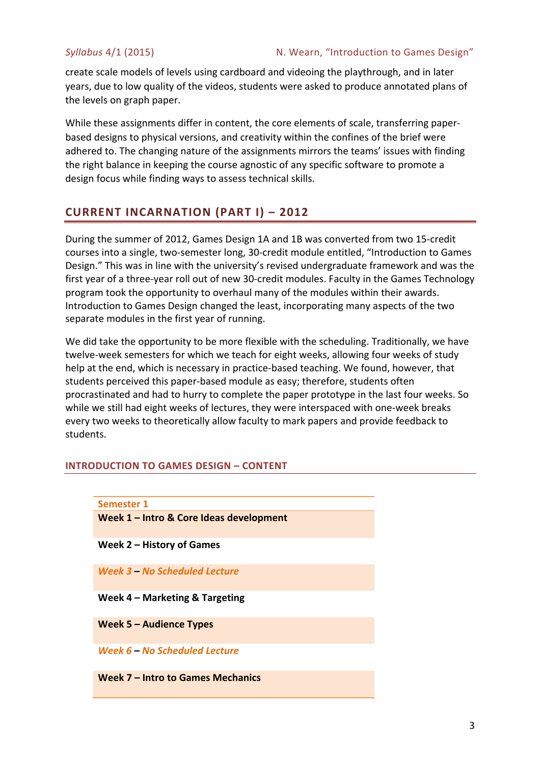create scale models of levels using cardboard and videoing the playthrough, and in later years, due to low quality of the videos, students were asked to produce annotated plans of the levels on graph paper.

While these assignments differ in content, the core elements of scale, transferring paperbased designs to physical versions, and creativity within the confines of the brief were adhered to. The changing nature of the assignments mirrors the teams' issues with finding the right balance in keeping the course agnostic of any specific software to promote a design focus while finding ways to assess technical skills.

# **CURRENT INCARNATION (PART I) – 2012**

During the summer of 2012, Games Design 1A and 1B was converted from two 15-credit courses into a single, two-semester long, 30-credit module entitled, "Introduction to Games Design." This was in line with the university's revised undergraduate framework and was the first year of a three-year roll out of new 30-credit modules. Faculty in the Games Technology program took the opportunity to overhaul many of the modules within their awards. Introduction to Games Design changed the least, incorporating many aspects of the two separate modules in the first year of running.

We did take the opportunity to be more flexible with the scheduling. Traditionally, we have twelve-week semesters for which we teach for eight weeks, allowing four weeks of study help at the end, which is necessary in practice-based teaching. We found, however, that students perceived this paper-based module as easy; therefore, students often procrastinated and had to hurry to complete the paper prototype in the last four weeks. So while we still had eight weeks of lectures, they were interspaced with one-week breaks every two weeks to theoretically allow faculty to mark papers and provide feedback to students.

# **INTRODUCTION TO GAMES DESIGN – CONTENT**

| <b>Semester 1</b>                       |
|-----------------------------------------|
| Week 1 - Intro & Core Ideas development |
| Week $2 -$ History of Games             |
| Week 3 – No Scheduled Lecture           |
| Week $4$ – Marketing & Targeting        |
| Week $5 -$ Audience Types               |
| Week 6 – No Scheduled Lecture           |
| Week 7 – Intro to Games Mechanics       |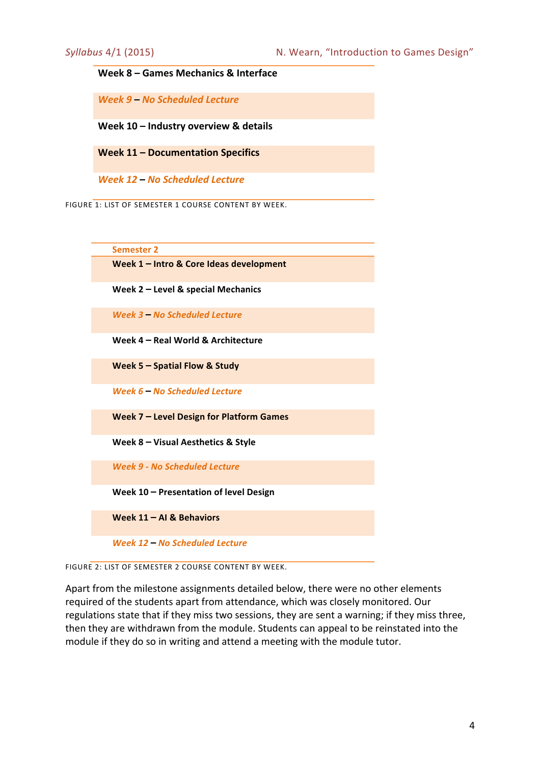#### **Week 8 – Games Mechanics & Interface**

*Week 9* **–** *No Scheduled Lecture*

Week 10 - **Industry overview & details** 

**Week 11 – Documentation Specifics**

*Week 12* **–** *No Scheduled Lecture*

FIGURE 1: LIST OF SEMESTER 1 COURSE CONTENT BY WEEK.



**Week 5 – Spatial Flow & Study** 

*Week 6* **–** *No Scheduled Lecture*

Week 7 - Level Design for Platform Games

**Week 8 – Visual Aesthetics & Style**

*Week 9 - No Scheduled Lecture*

Week 10 - Presentation of level Design

**Week 11 – AI & Behaviors**



FIGURE 2: LIST OF SEMESTER 2 COURSE CONTENT BY WEEK

Apart from the milestone assignments detailed below, there were no other elements required of the students apart from attendance, which was closely monitored. Our regulations state that if they miss two sessions, they are sent a warning; if they miss three, then they are withdrawn from the module. Students can appeal to be reinstated into the module if they do so in writing and attend a meeting with the module tutor.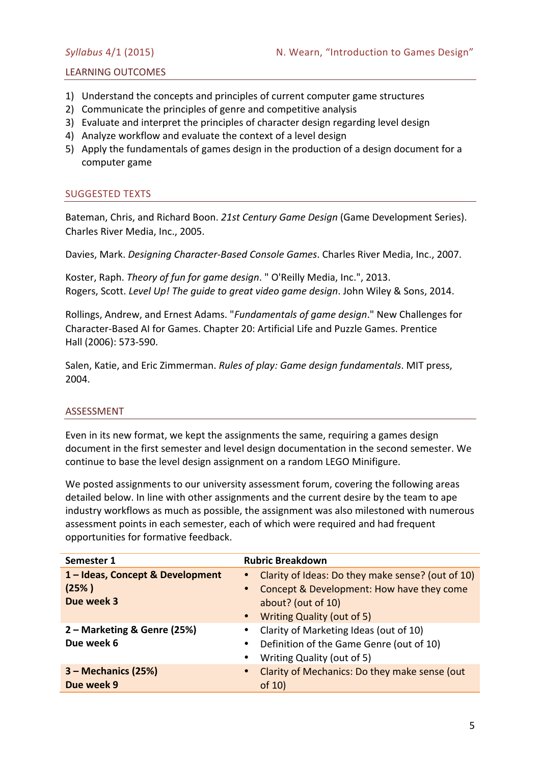### LEARNING OUTCOMES

- 1) Understand the concepts and principles of current computer game structures
- 2) Communicate the principles of genre and competitive analysis
- 3) Evaluate and interpret the principles of character design regarding level design
- 4) Analyze workflow and evaluate the context of a level design
- 5) Apply the fundamentals of games design in the production of a design document for a computer game

### SUGGESTED TEXTS

Bateman, Chris, and Richard Boon. 21st Century Game Design (Game Development Series). Charles River Media, Inc., 2005.

Davies, Mark. *Designing Character-Based Console Games*. Charles River Media, Inc., 2007.

Koster, Raph. *Theory of fun for game design*. " O'Reilly Media, Inc.", 2013. Rogers, Scott. *Level Up! The guide to great video game design*. John Wiley & Sons, 2014.

Rollings, Andrew, and Ernest Adams. "Fundamentals of game design." New Challenges for Character-Based AI for Games. Chapter 20: Artificial Life and Puzzle Games. Prentice Hall (2006): 573-590.

Salen, Katie, and Eric Zimmerman. *Rules of play: Game design fundamentals*. MIT press, 2004.

### ASSESSMENT

Even in its new format, we kept the assignments the same, requiring a games design document in the first semester and level design documentation in the second semester. We continue to base the level design assignment on a random LEGO Minifigure.

We posted assignments to our university assessment forum, covering the following areas detailed below. In line with other assignments and the current desire by the team to ape industry workflows as much as possible, the assignment was also milestoned with numerous assessment points in each semester, each of which were required and had frequent opportunities for formative feedback.

| Semester 1                     | <b>Rubric Breakdown</b>                                    |  |
|--------------------------------|------------------------------------------------------------|--|
| 1-Ideas, Concept & Development | • Clarity of Ideas: Do they make sense? (out of 10)        |  |
| (25%)                          | • Concept & Development: How have they come                |  |
| Due week 3                     | about? (out of 10)                                         |  |
|                                | • Writing Quality (out of 5)                               |  |
| 2 – Marketing & Genre (25%)    | Clarity of Marketing Ideas (out of 10)<br>$\bullet$        |  |
| Due week 6                     | • Definition of the Game Genre (out of 10)                 |  |
|                                | Writing Quality (out of 5)<br>$\bullet$                    |  |
| 3 – Mechanics (25%)            | Clarity of Mechanics: Do they make sense (out<br>$\bullet$ |  |
| Due week 9                     | of $10$                                                    |  |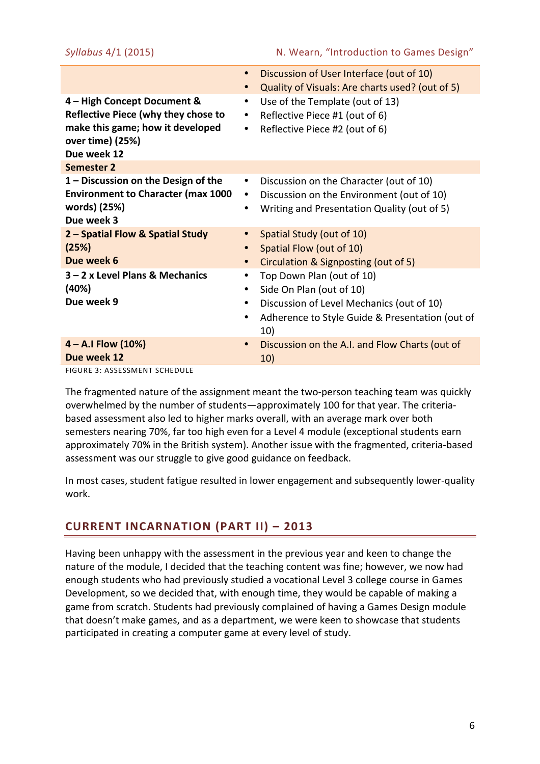|                                                                                                                                           | Discussion of User Interface (out of 10)<br>$\bullet$<br>Quality of Visuals: Are charts used? (out of 5)<br>$\bullet$                                                               |
|-------------------------------------------------------------------------------------------------------------------------------------------|-------------------------------------------------------------------------------------------------------------------------------------------------------------------------------------|
| 4 - High Concept Document &<br>Reflective Piece (why they chose to<br>make this game; how it developed<br>over time) (25%)<br>Due week 12 | Use of the Template (out of 13)<br>$\bullet$<br>Reflective Piece #1 (out of 6)<br>٠<br>Reflective Piece #2 (out of 6)<br>$\bullet$                                                  |
| <b>Semester 2</b>                                                                                                                         |                                                                                                                                                                                     |
| 1 – Discussion on the Design of the<br><b>Environment to Character (max 1000</b><br>words) (25%)<br>Due week 3                            | Discussion on the Character (out of 10)<br>$\bullet$<br>Discussion on the Environment (out of 10)<br>$\bullet$<br>Writing and Presentation Quality (out of 5)<br>$\bullet$          |
| 2 - Spatial Flow & Spatial Study<br>(25%)<br>Due week 6                                                                                   | Spatial Study (out of 10)<br>Spatial Flow (out of 10)<br>$\bullet$<br>Circulation & Signposting (out of 5)<br>$\bullet$                                                             |
| 3 – 2 x Level Plans & Mechanics<br>(40%)<br>Due week 9                                                                                    | Top Down Plan (out of 10)<br>Side On Plan (out of 10)<br>٠<br>Discussion of Level Mechanics (out of 10)<br>$\bullet$<br>Adherence to Style Guide & Presentation (out of<br>٠<br>10) |
| $4 - A.I$ Flow $(10%)$<br>Due week 12                                                                                                     | Discussion on the A.I. and Flow Charts (out of<br>$\bullet$<br>10)                                                                                                                  |

FIGURE 3: ASSESSMENT SCHEDULE

The fragmented nature of the assignment meant the two-person teaching team was quickly overwhelmed by the number of students—approximately 100 for that year. The criteriabased assessment also led to higher marks overall, with an average mark over both semesters nearing 70%, far too high even for a Level 4 module (exceptional students earn approximately 70% in the British system). Another issue with the fragmented, criteria-based assessment was our struggle to give good guidance on feedback.

In most cases, student fatigue resulted in lower engagement and subsequently lower-quality work. 

# **CURRENT INCARNATION (PART II) – 2013**

Having been unhappy with the assessment in the previous year and keen to change the nature of the module, I decided that the teaching content was fine; however, we now had enough students who had previously studied a vocational Level 3 college course in Games Development, so we decided that, with enough time, they would be capable of making a game from scratch. Students had previously complained of having a Games Design module that doesn't make games, and as a department, we were keen to showcase that students participated in creating a computer game at every level of study.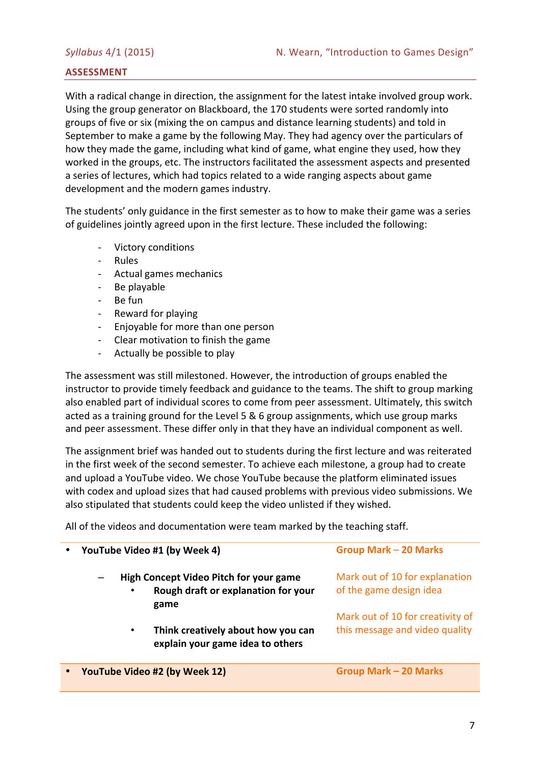# **ASSESSMENT**

With a radical change in direction, the assignment for the latest intake involved group work. Using the group generator on Blackboard, the 170 students were sorted randomly into groups of five or six (mixing the on campus and distance learning students) and told in September to make a game by the following May. They had agency over the particulars of how they made the game, including what kind of game, what engine they used, how they worked in the groups, etc. The instructors facilitated the assessment aspects and presented a series of lectures, which had topics related to a wide ranging aspects about game development and the modern games industry.

The students' only guidance in the first semester as to how to make their game was a series of guidelines jointly agreed upon in the first lecture. These included the following:

- Victory conditions
- Rules
- Actual games mechanics
- Be playable
- Be fun
- Reward for playing
- Enjoyable for more than one person
- Clear motivation to finish the game
- Actually be possible to play

The assessment was still milestoned. However, the introduction of groups enabled the instructor to provide timely feedback and guidance to the teams. The shift to group marking also enabled part of individual scores to come from peer assessment. Ultimately, this switch acted as a training ground for the Level 5 & 6 group assignments, which use group marks and peer assessment. These differ only in that they have an individual component as well.

The assignment brief was handed out to students during the first lecture and was reiterated in the first week of the second semester. To achieve each milestone, a group had to create and upload a YouTube video. We chose YouTube because the platform eliminated issues with codex and upload sizes that had caused problems with previous video submissions. We also stipulated that students could keep the video unlisted if they wished.

All of the videos and documentation were team marked by the teaching staff.

| YouTube Video #1 (by Week 4)  |                                                                                              | <b>Group Mark - 20 Marks</b>                                       |  |
|-------------------------------|----------------------------------------------------------------------------------------------|--------------------------------------------------------------------|--|
| $\bullet$                     | <b>High Concept Video Pitch for your game</b><br>Rough draft or explanation for your<br>game | Mark out of 10 for explanation<br>of the game design idea          |  |
| $\bullet$                     | Think creatively about how you can<br>explain your game idea to others                       | Mark out of 10 for creativity of<br>this message and video quality |  |
| YouTube Video #2 (by Week 12) |                                                                                              | <b>Group Mark - 20 Marks</b>                                       |  |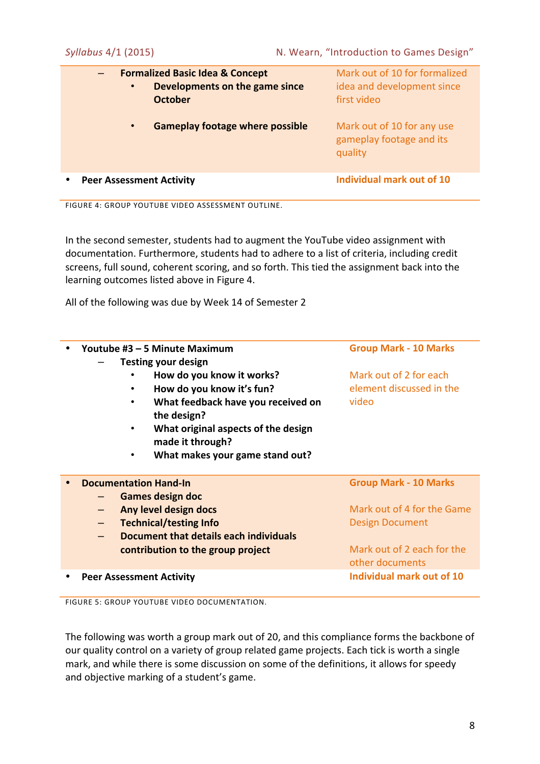| $\bullet$                       | <b>Formalized Basic Idea &amp; Concept</b><br>Developments on the game since<br><b>October</b> | Mark out of 10 for formalized<br>idea and development since<br>first video |
|---------------------------------|------------------------------------------------------------------------------------------------|----------------------------------------------------------------------------|
| $\bullet$                       | <b>Gameplay footage where possible</b>                                                         | Mark out of 10 for any use<br>gameplay footage and its<br>quality          |
| <b>Peer Assessment Activity</b> |                                                                                                | Individual mark out of 10                                                  |

FIGURE 4: GROUP YOUTUBE VIDEO ASSESSMENT OUTLINE.

In the second semester, students had to augment the YouTube video assignment with documentation. Furthermore, students had to adhere to a list of criteria, including credit screens, full sound, coherent scoring, and so forth. This tied the assignment back into the learning outcomes listed above in Figure 4.

All of the following was due by Week 14 of Semester 2

| Youtube #3 - 5 Minute Maximum          | <b>Group Mark - 10 Marks</b> |  |
|----------------------------------------|------------------------------|--|
| <b>Testing your design</b>             |                              |  |
| How do you know it works?              | Mark out of 2 for each       |  |
| How do you know it's fun?              | element discussed in the     |  |
| What feedback have you received on     | video                        |  |
| the design?                            |                              |  |
| What original aspects of the design    |                              |  |
| made it through?                       |                              |  |
| What makes your game stand out?        |                              |  |
|                                        |                              |  |
| <b>Documentation Hand-In</b>           | <b>Group Mark - 10 Marks</b> |  |
| <b>Games design doc</b>                |                              |  |
| Any level design docs                  | Mark out of 4 for the Game   |  |
| <b>Technical/testing Info</b>          | <b>Design Document</b>       |  |
| Document that details each individuals |                              |  |
| contribution to the group project      | Mark out of 2 each for the   |  |
|                                        | other documents              |  |
| <b>Peer Assessment Activity</b>        | Individual mark out of 10    |  |

FIGURE 5: GROUP YOUTUBE VIDEO DOCUMENTATION.

The following was worth a group mark out of 20, and this compliance forms the backbone of our quality control on a variety of group related game projects. Each tick is worth a single mark, and while there is some discussion on some of the definitions, it allows for speedy and objective marking of a student's game.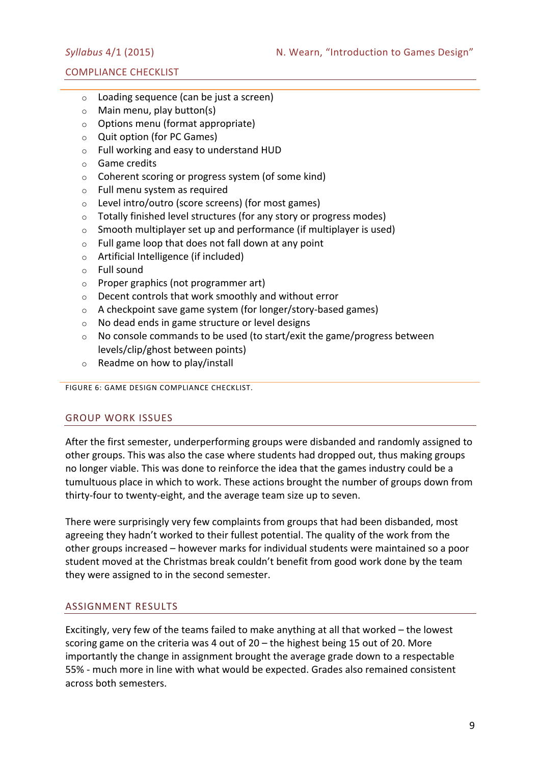### COMPLIANCE CHECKLIST

- $\circ$  Loading sequence (can be just a screen)
- $\circ$  Main menu, play button(s)
- $\circ$  Options menu (format appropriate)
- $\circ$  Quit option (for PC Games)
- $\circ$  Full working and easy to understand HUD
- o Game credits
- $\circ$  Coherent scoring or progress system (of some kind)
- $\circ$  Full menu system as required
- $\circ$  Level intro/outro (score screens) (for most games)
- $\circ$  Totally finished level structures (for any story or progress modes)
- $\circ$  Smooth multiplayer set up and performance (if multiplayer is used)
- $\circ$  Full game loop that does not fall down at any point
- $\circ$  Artificial Intelligence (if included)
- $\circ$  Full sound
- $\circ$  Proper graphics (not programmer art)
- $\circ$  Decent controls that work smoothly and without error
- $\circ$  A checkpoint save game system (for longer/story-based games)
- $\circ$  No dead ends in game structure or level designs
- $\circ$  No console commands to be used (to start/exit the game/progress between levels/clip/ghost between points)
- $\circ$  Readme on how to play/install

FIGURE 6: GAME DESIGN COMPLIANCE CHECKLIST.

### **GROUP WORK ISSUES**

After the first semester, underperforming groups were disbanded and randomly assigned to other groups. This was also the case where students had dropped out, thus making groups no longer viable. This was done to reinforce the idea that the games industry could be a tumultuous place in which to work. These actions brought the number of groups down from thirty-four to twenty-eight, and the average team size up to seven.

There were surprisingly very few complaints from groups that had been disbanded, most agreeing they hadn't worked to their fullest potential. The quality of the work from the other groups increased – however marks for individual students were maintained so a poor student moved at the Christmas break couldn't benefit from good work done by the team they were assigned to in the second semester.

# ASSIGNMENT RESULTS

Excitingly, very few of the teams failed to make anything at all that worked  $-$  the lowest scoring game on the criteria was 4 out of  $20 -$  the highest being 15 out of 20. More importantly the change in assignment brought the average grade down to a respectable 55% - much more in line with what would be expected. Grades also remained consistent across both semesters.